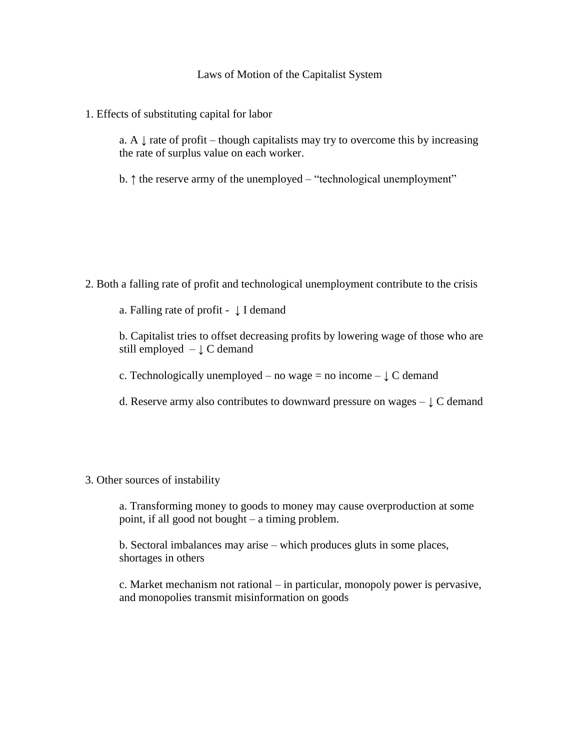## Laws of Motion of the Capitalist System

1. Effects of substituting capital for labor

a. A  $\downarrow$  rate of profit – though capitalists may try to overcome this by increasing the rate of surplus value on each worker.

b. ↑ the reserve army of the unemployed – "technological unemployment"

2. Both a falling rate of profit and technological unemployment contribute to the crisis

a. Falling rate of profit -  $\downarrow$  I demand

b. Capitalist tries to offset decreasing profits by lowering wage of those who are still employed  $-\downarrow C$  demand

c. Technologically unemployed – no wage = no income –  $\downarrow$  C demand

- d. Reserve army also contributes to downward pressure on wages  $\downarrow$  C demand
- 3. Other sources of instability

a. Transforming money to goods to money may cause overproduction at some point, if all good not bought – a timing problem.

b. Sectoral imbalances may arise – which produces gluts in some places, shortages in others

c. Market mechanism not rational – in particular, monopoly power is pervasive, and monopolies transmit misinformation on goods